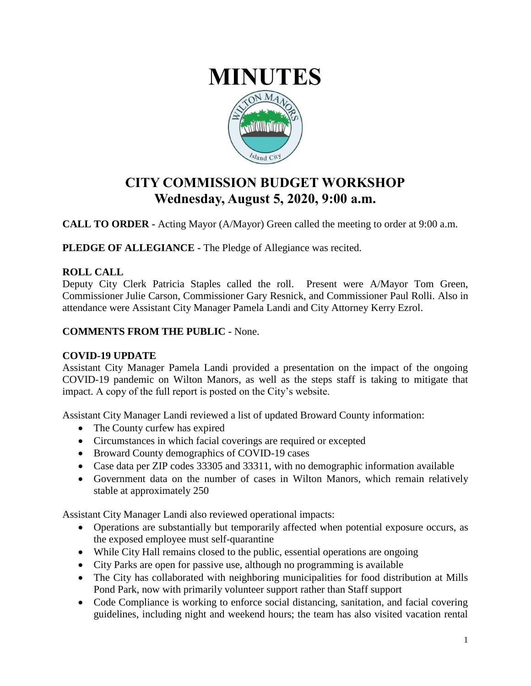

# **CITY COMMISSION BUDGET WORKSHOP Wednesday, August 5, 2020, 9:00 a.m.**

**CALL TO ORDER -** Acting Mayor (A/Mayor) Green called the meeting to order at 9:00 a.m.

**PLEDGE OF ALLEGIANCE -** The Pledge of Allegiance was recited.

## **ROLL CALL**

Deputy City Clerk Patricia Staples called the roll. Present were A/Mayor Tom Green, Commissioner Julie Carson, Commissioner Gary Resnick, and Commissioner Paul Rolli. Also in attendance were Assistant City Manager Pamela Landi and City Attorney Kerry Ezrol.

## **COMMENTS FROM THE PUBLIC -** None.

#### **COVID-19 UPDATE**

Assistant City Manager Pamela Landi provided a presentation on the impact of the ongoing COVID-19 pandemic on Wilton Manors, as well as the steps staff is taking to mitigate that impact. A copy of the full report is posted on the City's website.

Assistant City Manager Landi reviewed a list of updated Broward County information:

- The County curfew has expired
- Circumstances in which facial coverings are required or excepted
- Broward County demographics of COVID-19 cases
- Case data per ZIP codes 33305 and 33311, with no demographic information available
- Government data on the number of cases in Wilton Manors, which remain relatively stable at approximately 250

Assistant City Manager Landi also reviewed operational impacts:

- Operations are substantially but temporarily affected when potential exposure occurs, as the exposed employee must self-quarantine
- While City Hall remains closed to the public, essential operations are ongoing
- City Parks are open for passive use, although no programming is available
- The City has collaborated with neighboring municipalities for food distribution at Mills Pond Park, now with primarily volunteer support rather than Staff support
- Code Compliance is working to enforce social distancing, sanitation, and facial covering guidelines, including night and weekend hours; the team has also visited vacation rental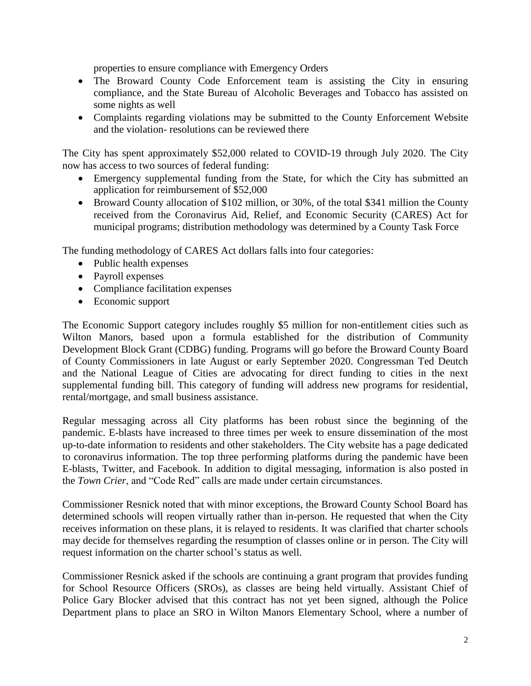properties to ensure compliance with Emergency Orders

- The Broward County Code Enforcement team is assisting the City in ensuring compliance, and the State Bureau of Alcoholic Beverages and Tobacco has assisted on some nights as well
- Complaints regarding violations may be submitted to the County Enforcement Website and the violation- resolutions can be reviewed there

The City has spent approximately \$52,000 related to COVID-19 through July 2020. The City now has access to two sources of federal funding:

- Emergency supplemental funding from the State, for which the City has submitted an application for reimbursement of \$52,000
- Broward County allocation of \$102 million, or 30%, of the total \$341 million the County received from the Coronavirus Aid, Relief, and Economic Security (CARES) Act for municipal programs; distribution methodology was determined by a County Task Force

The funding methodology of CARES Act dollars falls into four categories:

- Public health expenses
- Payroll expenses
- Compliance facilitation expenses
- Economic support

The Economic Support category includes roughly \$5 million for non-entitlement cities such as Wilton Manors, based upon a formula established for the distribution of Community Development Block Grant (CDBG) funding. Programs will go before the Broward County Board of County Commissioners in late August or early September 2020. Congressman Ted Deutch and the National League of Cities are advocating for direct funding to cities in the next supplemental funding bill. This category of funding will address new programs for residential, rental/mortgage, and small business assistance.

Regular messaging across all City platforms has been robust since the beginning of the pandemic. E-blasts have increased to three times per week to ensure dissemination of the most up-to-date information to residents and other stakeholders. The City website has a page dedicated to coronavirus information. The top three performing platforms during the pandemic have been E-blasts, Twitter, and Facebook. In addition to digital messaging, information is also posted in the *Town Crier*, and "Code Red" calls are made under certain circumstances.

Commissioner Resnick noted that with minor exceptions, the Broward County School Board has determined schools will reopen virtually rather than in-person. He requested that when the City receives information on these plans, it is relayed to residents. It was clarified that charter schools may decide for themselves regarding the resumption of classes online or in person. The City will request information on the charter school's status as well.

Commissioner Resnick asked if the schools are continuing a grant program that provides funding for School Resource Officers (SROs), as classes are being held virtually. Assistant Chief of Police Gary Blocker advised that this contract has not yet been signed, although the Police Department plans to place an SRO in Wilton Manors Elementary School, where a number of